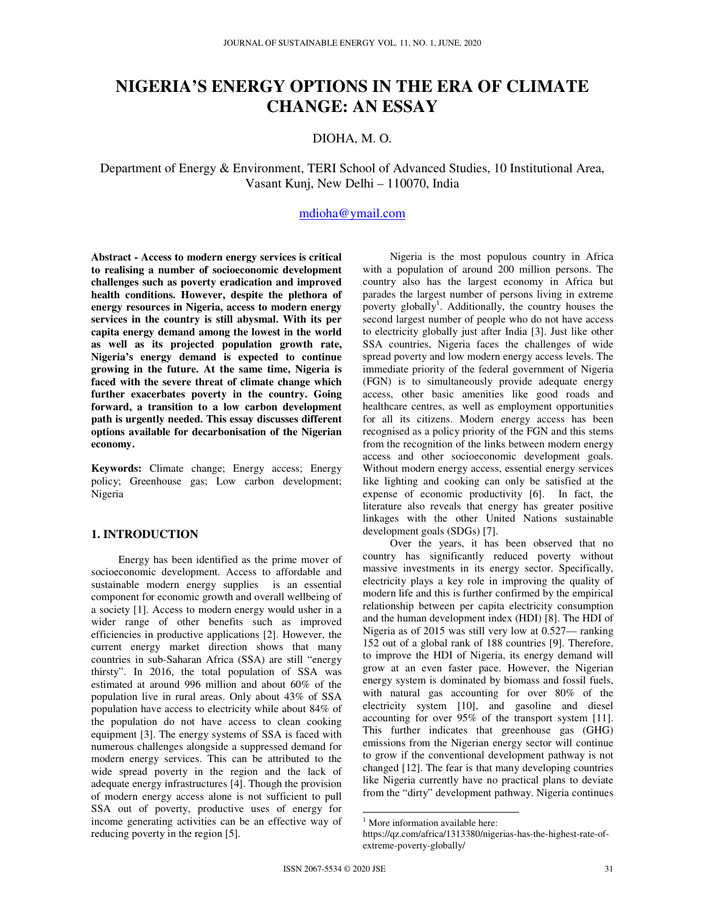# **NIGERIA'S ENERGY OPTIONS IN THE ERA OF CLIMATE CHANGE: AN ESSAY**

## DIOHA, M. O.

## Department of Energy & Environment, TERI School of Advanced Studies, 10 Institutional Area, Vasant Kunj, New Delhi – 110070, India

## mdioha@ymail.com

**Abstract - Access to modern energy services is critical to realising a number of socioeconomic development challenges such as poverty eradication and improved health conditions. However, despite the plethora of energy resources in Nigeria, access to modern energy services in the country is still abysmal. With its per capita energy demand among the lowest in the world as well as its projected population growth rate, Nigeria's energy demand is expected to continue growing in the future. At the same time, Nigeria is faced with the severe threat of climate change which further exacerbates poverty in the country. Going forward, a transition to a low carbon development path is urgently needed. This essay discusses different options available for decarbonisation of the Nigerian economy.** 

**Keywords:** Climate change; Energy access; Energy policy; Greenhouse gas; Low carbon development; Nigeria

## **1. INTRODUCTION**

 Energy has been identified as the prime mover of socioeconomic development. Access to affordable and sustainable modern energy supplies is an essential component for economic growth and overall wellbeing of a society [1]. Access to modern energy would usher in a wider range of other benefits such as improved efficiencies in productive applications [2]. However, the current energy market direction shows that many countries in sub-Saharan Africa (SSA) are still "energy thirsty". In 2016, the total population of SSA was estimated at around 996 million and about 60% of the population live in rural areas. Only about 43% of SSA population have access to electricity while about 84% of the population do not have access to clean cooking equipment [3]. The energy systems of SSA is faced with numerous challenges alongside a suppressed demand for modern energy services. This can be attributed to the wide spread poverty in the region and the lack of adequate energy infrastructures [4]. Though the provision of modern energy access alone is not sufficient to pull SSA out of poverty, productive uses of energy for income generating activities can be an effective way of reducing poverty in the region [5].

 Nigeria is the most populous country in Africa with a population of around 200 million persons. The country also has the largest economy in Africa but parades the largest number of persons living in extreme poverty globally<sup>1</sup>. Additionally, the country houses the second largest number of people who do not have access to electricity globally just after India [3]. Just like other SSA countries, Nigeria faces the challenges of wide spread poverty and low modern energy access levels. The immediate priority of the federal government of Nigeria (FGN) is to simultaneously provide adequate energy access, other basic amenities like good roads and healthcare centres, as well as employment opportunities for all its citizens. Modern energy access has been recognised as a policy priority of the FGN and this stems from the recognition of the links between modern energy access and other socioeconomic development goals. Without modern energy access, essential energy services like lighting and cooking can only be satisfied at the expense of economic productivity [6]. In fact, the literature also reveals that energy has greater positive linkages with the other United Nations sustainable development goals (SDGs) [7].

 Over the years, it has been observed that no country has significantly reduced poverty without massive investments in its energy sector. Specifically, electricity plays a key role in improving the quality of modern life and this is further confirmed by the empirical relationship between per capita electricity consumption and the human development index (HDI) [8]. The HDI of Nigeria as of 2015 was still very low at 0.527— ranking 152 out of a global rank of 188 countries [9]. Therefore, to improve the HDI of Nigeria, its energy demand will grow at an even faster pace. However, the Nigerian energy system is dominated by biomass and fossil fuels, with natural gas accounting for over 80% of the electricity system [10], and gasoline and diesel accounting for over 95% of the transport system [11]. This further indicates that greenhouse gas (GHG) emissions from the Nigerian energy sector will continue to grow if the conventional development pathway is not changed [12]. The fear is that many developing countries like Nigeria currently have no practical plans to deviate from the "dirty" development pathway. Nigeria continues

 $\overline{a}$ 

<sup>&</sup>lt;sup>1</sup> More information available here:

https://qz.com/africa/1313380/nigerias-has-the-highest-rate-ofextreme-poverty-globally/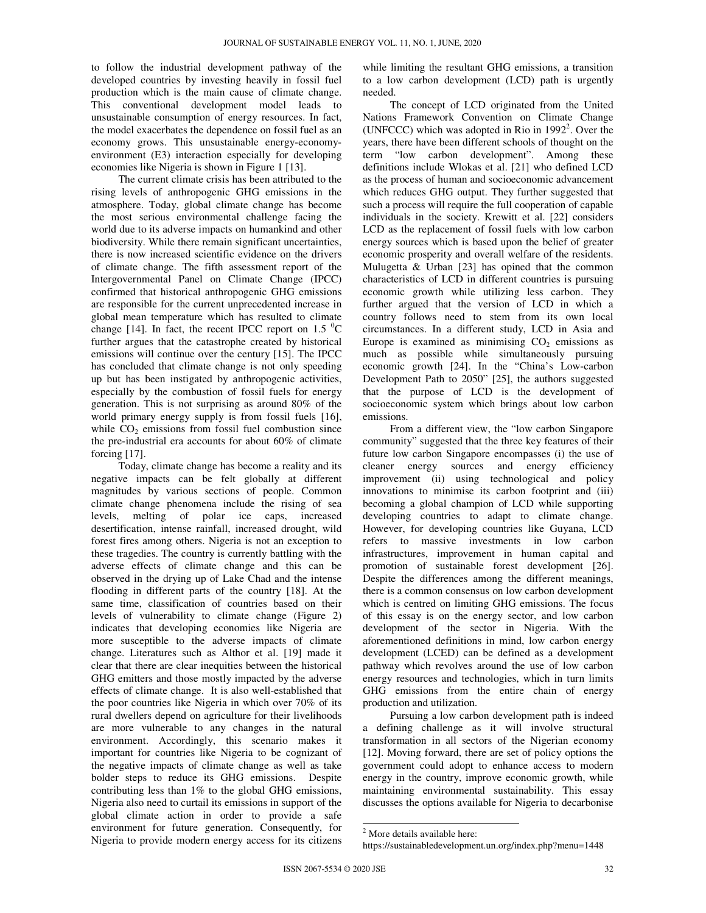to follow the industrial development pathway of the developed countries by investing heavily in fossil fuel production which is the main cause of climate change. This conventional development model leads to unsustainable consumption of energy resources. In fact, the model exacerbates the dependence on fossil fuel as an economy grows. This unsustainable energy-economyenvironment (E3) interaction especially for developing economies like Nigeria is shown in Figure 1 [13].

 The current climate crisis has been attributed to the rising levels of anthropogenic GHG emissions in the atmosphere. Today, global climate change has become the most serious environmental challenge facing the world due to its adverse impacts on humankind and other biodiversity. While there remain significant uncertainties, there is now increased scientific evidence on the drivers of climate change. The fifth assessment report of the Intergovernmental Panel on Climate Change (IPCC) confirmed that historical anthropogenic GHG emissions are responsible for the current unprecedented increase in global mean temperature which has resulted to climate change [14]. In fact, the recent IPCC report on 1.5  $^{\circ}$ C further argues that the catastrophe created by historical emissions will continue over the century [15]. The IPCC has concluded that climate change is not only speeding up but has been instigated by anthropogenic activities, especially by the combustion of fossil fuels for energy generation. This is not surprising as around 80% of the world primary energy supply is from fossil fuels [16], while  $CO<sub>2</sub>$  emissions from fossil fuel combustion since the pre-industrial era accounts for about 60% of climate forcing [17].

 Today, climate change has become a reality and its negative impacts can be felt globally at different magnitudes by various sections of people. Common climate change phenomena include the rising of sea levels, melting of polar ice caps, increased desertification, intense rainfall, increased drought, wild forest fires among others. Nigeria is not an exception to these tragedies. The country is currently battling with the adverse effects of climate change and this can be observed in the drying up of Lake Chad and the intense flooding in different parts of the country [18]. At the same time, classification of countries based on their levels of vulnerability to climate change (Figure 2) indicates that developing economies like Nigeria are more susceptible to the adverse impacts of climate change. Literatures such as Althor et al. [19] made it clear that there are clear inequities between the historical GHG emitters and those mostly impacted by the adverse effects of climate change. It is also well-established that the poor countries like Nigeria in which over 70% of its rural dwellers depend on agriculture for their livelihoods are more vulnerable to any changes in the natural environment. Accordingly, this scenario makes it important for countries like Nigeria to be cognizant of the negative impacts of climate change as well as take bolder steps to reduce its GHG emissions. Despite contributing less than 1% to the global GHG emissions, Nigeria also need to curtail its emissions in support of the global climate action in order to provide a safe environment for future generation. Consequently, for Nigeria to provide modern energy access for its citizens

while limiting the resultant GHG emissions, a transition to a low carbon development (LCD) path is urgently needed.

 The concept of LCD originated from the United Nations Framework Convention on Climate Change (UNFCCC) which was adopted in Rio in  $1992<sup>2</sup>$ . Over the years, there have been different schools of thought on the term "low carbon development". Among these definitions include Wlokas et al. [21] who defined LCD as the process of human and socioeconomic advancement which reduces GHG output. They further suggested that such a process will require the full cooperation of capable individuals in the society. Krewitt et al. [22] considers LCD as the replacement of fossil fuels with low carbon energy sources which is based upon the belief of greater economic prosperity and overall welfare of the residents. Mulugetta & Urban [23] has opined that the common characteristics of LCD in different countries is pursuing economic growth while utilizing less carbon. They further argued that the version of LCD in which a country follows need to stem from its own local circumstances. In a different study, LCD in Asia and Europe is examined as minimising  $CO<sub>2</sub>$  emissions as much as possible while simultaneously pursuing economic growth [24]. In the "China's Low-carbon Development Path to 2050" [25], the authors suggested that the purpose of LCD is the development of socioeconomic system which brings about low carbon emissions.

 From a different view, the "low carbon Singapore community" suggested that the three key features of their future low carbon Singapore encompasses (i) the use of cleaner energy sources and energy efficiency improvement (ii) using technological and policy innovations to minimise its carbon footprint and (iii) becoming a global champion of LCD while supporting developing countries to adapt to climate change. However, for developing countries like Guyana, LCD refers to massive investments in low carbon infrastructures, improvement in human capital and promotion of sustainable forest development [26]. Despite the differences among the different meanings, there is a common consensus on low carbon development which is centred on limiting GHG emissions. The focus of this essay is on the energy sector, and low carbon development of the sector in Nigeria. With the aforementioned definitions in mind, low carbon energy development (LCED) can be defined as a development pathway which revolves around the use of low carbon energy resources and technologies, which in turn limits GHG emissions from the entire chain of energy production and utilization.

 Pursuing a low carbon development path is indeed a defining challenge as it will involve structural transformation in all sectors of the Nigerian economy [12]. Moving forward, there are set of policy options the government could adopt to enhance access to modern energy in the country, improve economic growth, while maintaining environmental sustainability. This essay discusses the options available for Nigeria to decarbonise

 $\overline{a}$ <sup>2</sup> More details available here:

https://sustainabledevelopment.un.org/index.php?menu=1448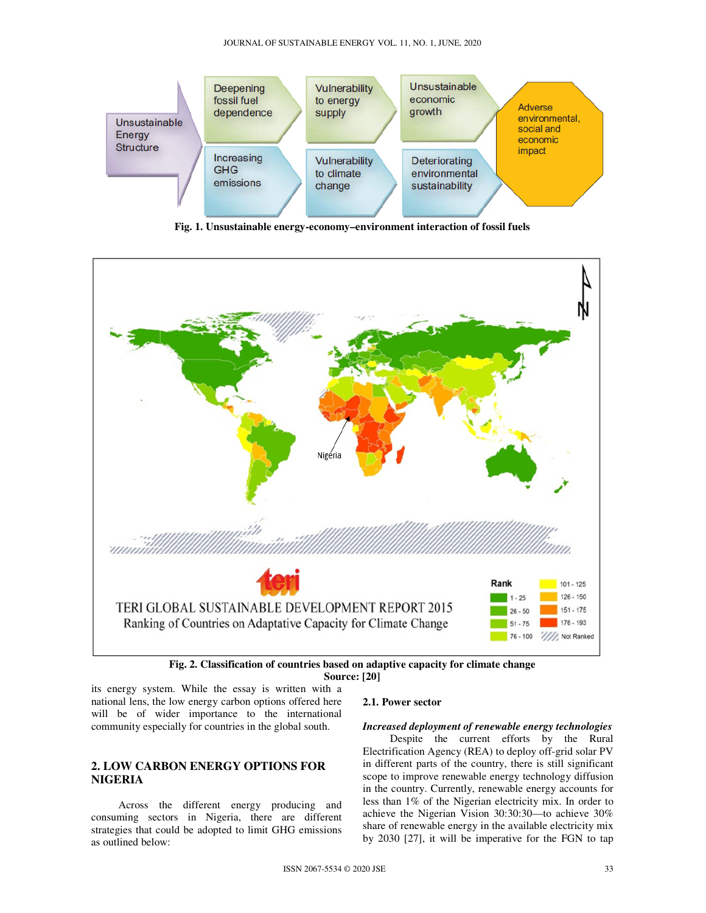

**Fig. 1. Unsustainable energy-economy–environment interaction of fossil fuels**





its energy system. While the essay is written with a national lens, the low energy carbon options offered here will be of wider importance to the international community especially for countries in the global south.

## **2. LOW CARBON ENERGY OPTIONS FOR NIGERIA**

 Across the different energy producing and consuming sectors in Nigeria, there are different strategies that could be adopted to limit GHG emissions as outlined below:

## **2.1. Power sector**

#### *Increased deployment of renewable energy technologies*

 Despite the current efforts by the Rural Electrification Agency (REA) to deploy off-grid solar PV in different parts of the country, there is still significant scope to improve renewable energy technology diffusion in the country. Currently, renewable energy accounts for less than 1% of the Nigerian electricity mix. In order to achieve the Nigerian Vision 30:30:30—to achieve 30% share of renewable energy in the available electricity mix by 2030 [27], it will be imperative for the FGN to tap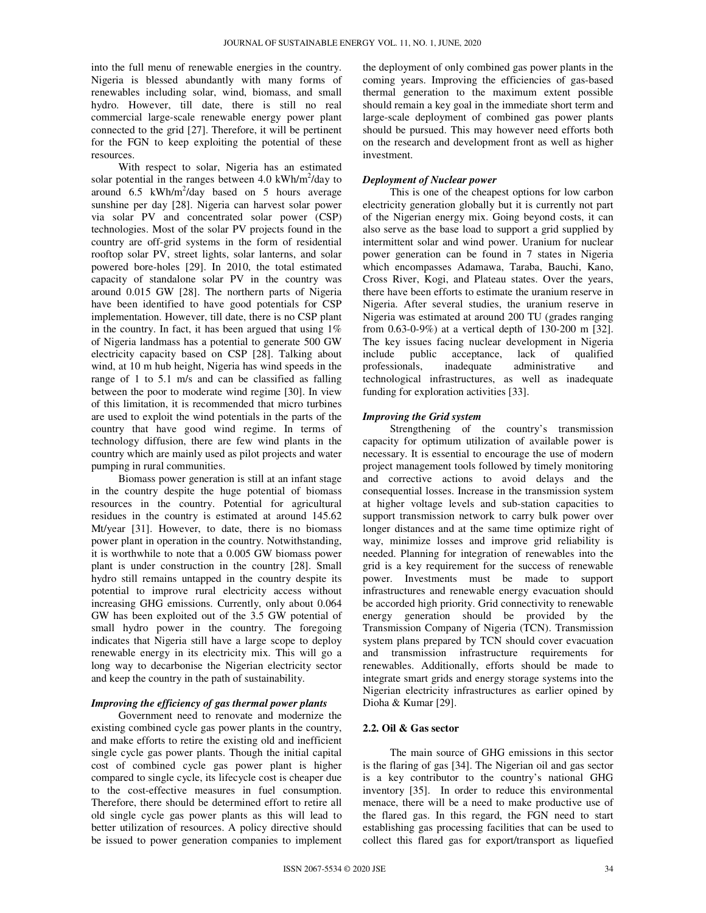into the full menu of renewable energies in the country. Nigeria is blessed abundantly with many forms of renewables including solar, wind, biomass, and small hydro. However, till date, there is still no real commercial large-scale renewable energy power plant connected to the grid [27]. Therefore, it will be pertinent for the FGN to keep exploiting the potential of these resources.

 With respect to solar, Nigeria has an estimated solar potential in the ranges between  $4.0 \text{ kWh/m}^2/\text{day}$  to around  $6.5$  kWh/m<sup>2</sup>/day based on 5 hours average sunshine per day [28]. Nigeria can harvest solar power via solar PV and concentrated solar power (CSP) technologies. Most of the solar PV projects found in the country are off-grid systems in the form of residential rooftop solar PV, street lights, solar lanterns, and solar powered bore-holes [29]. In 2010, the total estimated capacity of standalone solar PV in the country was around 0.015 GW [28]. The northern parts of Nigeria have been identified to have good potentials for CSP implementation. However, till date, there is no CSP plant in the country. In fact, it has been argued that using  $1\%$ of Nigeria landmass has a potential to generate 500 GW electricity capacity based on CSP [28]. Talking about wind, at 10 m hub height, Nigeria has wind speeds in the range of 1 to 5.1 m/s and can be classified as falling between the poor to moderate wind regime [30]. In view of this limitation, it is recommended that micro turbines are used to exploit the wind potentials in the parts of the country that have good wind regime. In terms of technology diffusion, there are few wind plants in the country which are mainly used as pilot projects and water pumping in rural communities.

 Biomass power generation is still at an infant stage in the country despite the huge potential of biomass resources in the country. Potential for agricultural residues in the country is estimated at around 145.62 Mt/year [31]. However, to date, there is no biomass power plant in operation in the country. Notwithstanding, it is worthwhile to note that a 0.005 GW biomass power plant is under construction in the country [28]. Small hydro still remains untapped in the country despite its potential to improve rural electricity access without increasing GHG emissions. Currently, only about 0.064 GW has been exploited out of the 3.5 GW potential of small hydro power in the country. The foregoing indicates that Nigeria still have a large scope to deploy renewable energy in its electricity mix. This will go a long way to decarbonise the Nigerian electricity sector and keep the country in the path of sustainability.

## *Improving the efficiency of gas thermal power plants*

 Government need to renovate and modernize the existing combined cycle gas power plants in the country, and make efforts to retire the existing old and inefficient single cycle gas power plants. Though the initial capital cost of combined cycle gas power plant is higher compared to single cycle, its lifecycle cost is cheaper due to the cost-effective measures in fuel consumption. Therefore, there should be determined effort to retire all old single cycle gas power plants as this will lead to better utilization of resources. A policy directive should be issued to power generation companies to implement

the deployment of only combined gas power plants in the coming years. Improving the efficiencies of gas-based thermal generation to the maximum extent possible should remain a key goal in the immediate short term and large-scale deployment of combined gas power plants should be pursued. This may however need efforts both on the research and development front as well as higher investment.

#### *Deployment of Nuclear power*

 This is one of the cheapest options for low carbon electricity generation globally but it is currently not part of the Nigerian energy mix. Going beyond costs, it can also serve as the base load to support a grid supplied by intermittent solar and wind power. Uranium for nuclear power generation can be found in 7 states in Nigeria which encompasses Adamawa, Taraba, Bauchi, Kano, Cross River, Kogi, and Plateau states. Over the years, there have been efforts to estimate the uranium reserve in Nigeria. After several studies, the uranium reserve in Nigeria was estimated at around 200 TU (grades ranging from 0.63-0-9%) at a vertical depth of 130-200 m [32]. The key issues facing nuclear development in Nigeria include public acceptance, lack of qualified professionals, inadequate administrative and technological infrastructures, as well as inadequate funding for exploration activities [33].

#### *Improving the Grid system*

 Strengthening of the country's transmission capacity for optimum utilization of available power is necessary. It is essential to encourage the use of modern project management tools followed by timely monitoring and corrective actions to avoid delays and the consequential losses. Increase in the transmission system at higher voltage levels and sub-station capacities to support transmission network to carry bulk power over longer distances and at the same time optimize right of way, minimize losses and improve grid reliability is needed. Planning for integration of renewables into the grid is a key requirement for the success of renewable power. Investments must be made to support infrastructures and renewable energy evacuation should be accorded high priority. Grid connectivity to renewable energy generation should be provided by the Transmission Company of Nigeria (TCN). Transmission system plans prepared by TCN should cover evacuation and transmission infrastructure requirements for renewables. Additionally, efforts should be made to integrate smart grids and energy storage systems into the Nigerian electricity infrastructures as earlier opined by Dioha & Kumar [29].

## **2.2. Oil & Gas sector**

 The main source of GHG emissions in this sector is the flaring of gas [34]. The Nigerian oil and gas sector is a key contributor to the country's national GHG inventory [35]. In order to reduce this environmental menace, there will be a need to make productive use of the flared gas. In this regard, the FGN need to start establishing gas processing facilities that can be used to collect this flared gas for export/transport as liquefied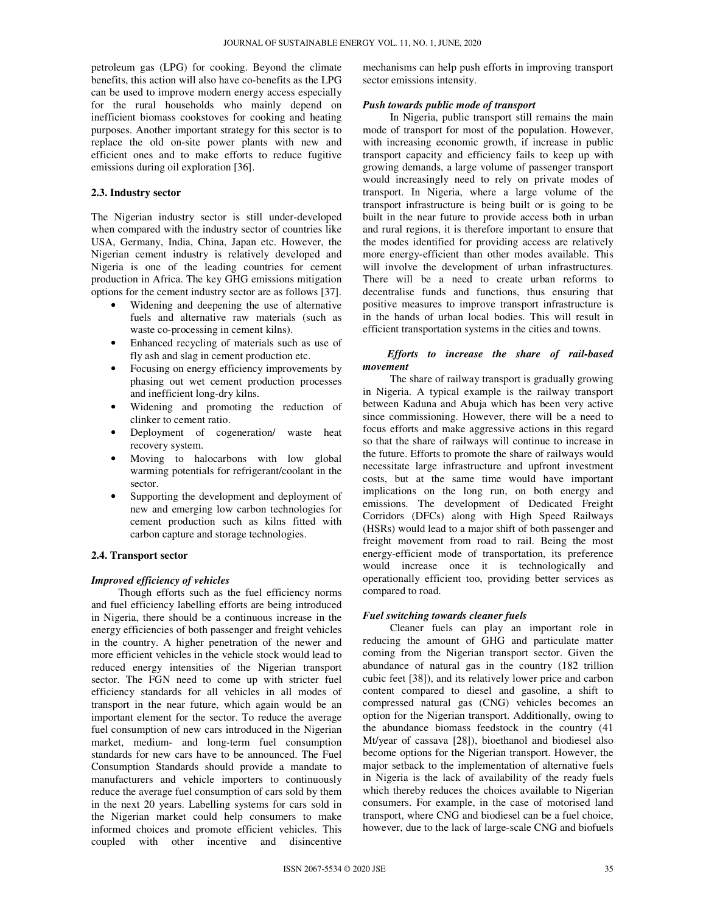petroleum gas (LPG) for cooking. Beyond the climate benefits, this action will also have co-benefits as the LPG can be used to improve modern energy access especially for the rural households who mainly depend on inefficient biomass cookstoves for cooking and heating purposes. Another important strategy for this sector is to replace the old on-site power plants with new and efficient ones and to make efforts to reduce fugitive emissions during oil exploration [36].

## **2.3. Industry sector**

The Nigerian industry sector is still under-developed when compared with the industry sector of countries like USA, Germany, India, China, Japan etc. However, the Nigerian cement industry is relatively developed and Nigeria is one of the leading countries for cement production in Africa. The key GHG emissions mitigation options for the cement industry sector are as follows [37].

- Widening and deepening the use of alternative fuels and alternative raw materials (such as waste co-processing in cement kilns).
- Enhanced recycling of materials such as use of fly ash and slag in cement production etc.
- Focusing on energy efficiency improvements by phasing out wet cement production processes and inefficient long-dry kilns.
- Widening and promoting the reduction of clinker to cement ratio.
- Deployment of cogeneration/ waste heat recovery system.
- Moving to halocarbons with low global warming potentials for refrigerant/coolant in the sector.
- Supporting the development and deployment of new and emerging low carbon technologies for cement production such as kilns fitted with carbon capture and storage technologies.

#### **2.4. Transport sector**

#### *Improved efficiency of vehicles*

 Though efforts such as the fuel efficiency norms and fuel efficiency labelling efforts are being introduced in Nigeria, there should be a continuous increase in the energy efficiencies of both passenger and freight vehicles in the country. A higher penetration of the newer and more efficient vehicles in the vehicle stock would lead to reduced energy intensities of the Nigerian transport sector. The FGN need to come up with stricter fuel efficiency standards for all vehicles in all modes of transport in the near future, which again would be an important element for the sector. To reduce the average fuel consumption of new cars introduced in the Nigerian market, medium- and long-term fuel consumption standards for new cars have to be announced. The Fuel Consumption Standards should provide a mandate to manufacturers and vehicle importers to continuously reduce the average fuel consumption of cars sold by them in the next 20 years. Labelling systems for cars sold in the Nigerian market could help consumers to make informed choices and promote efficient vehicles. This coupled with other incentive and disincentive

mechanisms can help push efforts in improving transport sector emissions intensity.

#### *Push towards public mode of transport*

 In Nigeria, public transport still remains the main mode of transport for most of the population. However, with increasing economic growth, if increase in public transport capacity and efficiency fails to keep up with growing demands, a large volume of passenger transport would increasingly need to rely on private modes of transport. In Nigeria, where a large volume of the transport infrastructure is being built or is going to be built in the near future to provide access both in urban and rural regions, it is therefore important to ensure that the modes identified for providing access are relatively more energy-efficient than other modes available. This will involve the development of urban infrastructures. There will be a need to create urban reforms to decentralise funds and functions, thus ensuring that positive measures to improve transport infrastructure is in the hands of urban local bodies. This will result in efficient transportation systems in the cities and towns.

## *Efforts to increase the share of rail-based movement*

 The share of railway transport is gradually growing in Nigeria. A typical example is the railway transport between Kaduna and Abuja which has been very active since commissioning. However, there will be a need to focus efforts and make aggressive actions in this regard so that the share of railways will continue to increase in the future. Efforts to promote the share of railways would necessitate large infrastructure and upfront investment costs, but at the same time would have important implications on the long run, on both energy and emissions. The development of Dedicated Freight Corridors (DFCs) along with High Speed Railways (HSRs) would lead to a major shift of both passenger and freight movement from road to rail. Being the most energy-efficient mode of transportation, its preference would increase once it is technologically and operationally efficient too, providing better services as compared to road.

#### *Fuel switching towards cleaner fuels*

 Cleaner fuels can play an important role in reducing the amount of GHG and particulate matter coming from the Nigerian transport sector. Given the abundance of natural gas in the country (182 trillion cubic feet [38]), and its relatively lower price and carbon content compared to diesel and gasoline, a shift to compressed natural gas (CNG) vehicles becomes an option for the Nigerian transport. Additionally, owing to the abundance biomass feedstock in the country (41 Mt/year of cassava [28]), bioethanol and biodiesel also become options for the Nigerian transport. However, the major setback to the implementation of alternative fuels in Nigeria is the lack of availability of the ready fuels which thereby reduces the choices available to Nigerian consumers. For example, in the case of motorised land transport, where CNG and biodiesel can be a fuel choice, however, due to the lack of large-scale CNG and biofuels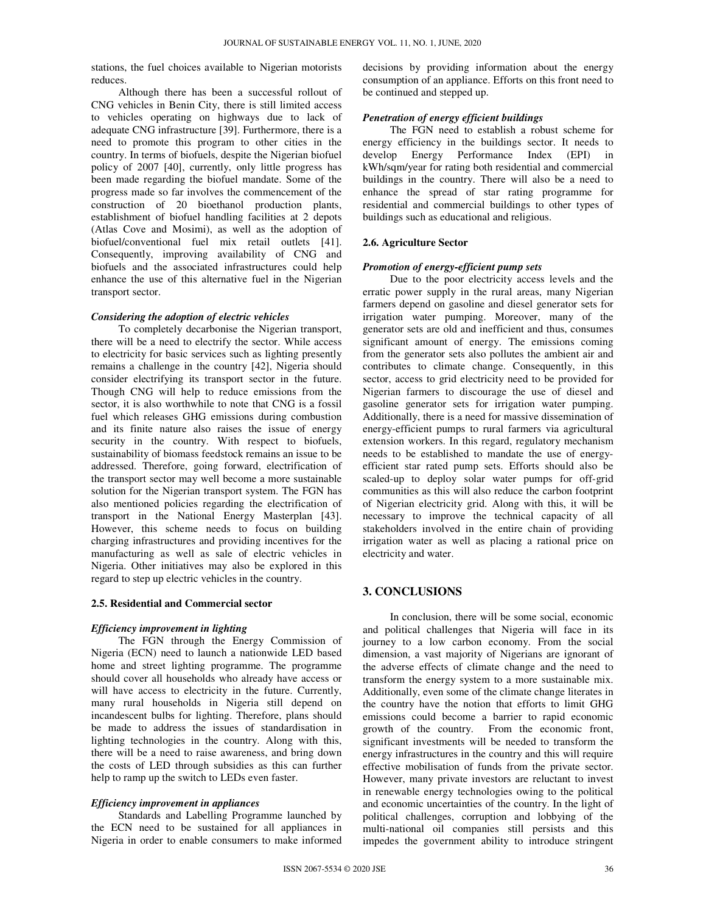stations, the fuel choices available to Nigerian motorists reduces.

 Although there has been a successful rollout of CNG vehicles in Benin City, there is still limited access to vehicles operating on highways due to lack of adequate CNG infrastructure [39]. Furthermore, there is a need to promote this program to other cities in the country. In terms of biofuels, despite the Nigerian biofuel policy of 2007 [40], currently, only little progress has been made regarding the biofuel mandate. Some of the progress made so far involves the commencement of the construction of 20 bioethanol production plants, establishment of biofuel handling facilities at 2 depots (Atlas Cove and Mosimi), as well as the adoption of biofuel/conventional fuel mix retail outlets [41]. Consequently, improving availability of CNG and biofuels and the associated infrastructures could help enhance the use of this alternative fuel in the Nigerian transport sector.

## *Considering the adoption of electric vehicles*

 To completely decarbonise the Nigerian transport, there will be a need to electrify the sector. While access to electricity for basic services such as lighting presently remains a challenge in the country [42], Nigeria should consider electrifying its transport sector in the future. Though CNG will help to reduce emissions from the sector, it is also worthwhile to note that CNG is a fossil fuel which releases GHG emissions during combustion and its finite nature also raises the issue of energy security in the country. With respect to biofuels, sustainability of biomass feedstock remains an issue to be addressed. Therefore, going forward, electrification of the transport sector may well become a more sustainable solution for the Nigerian transport system. The FGN has also mentioned policies regarding the electrification of transport in the National Energy Masterplan [43]. However, this scheme needs to focus on building charging infrastructures and providing incentives for the manufacturing as well as sale of electric vehicles in Nigeria. Other initiatives may also be explored in this regard to step up electric vehicles in the country.

#### **2.5. Residential and Commercial sector**

#### *Efficiency improvement in lighting*

 The FGN through the Energy Commission of Nigeria (ECN) need to launch a nationwide LED based home and street lighting programme. The programme should cover all households who already have access or will have access to electricity in the future. Currently, many rural households in Nigeria still depend on incandescent bulbs for lighting. Therefore, plans should be made to address the issues of standardisation in lighting technologies in the country. Along with this, there will be a need to raise awareness, and bring down the costs of LED through subsidies as this can further help to ramp up the switch to LEDs even faster.

#### *Efficiency improvement in appliances*

 Standards and Labelling Programme launched by the ECN need to be sustained for all appliances in Nigeria in order to enable consumers to make informed decisions by providing information about the energy consumption of an appliance. Efforts on this front need to be continued and stepped up.

#### *Penetration of energy efficient buildings*

 The FGN need to establish a robust scheme for energy efficiency in the buildings sector. It needs to develop Energy Performance Index (EPI) in kWh/sqm/year for rating both residential and commercial buildings in the country. There will also be a need to enhance the spread of star rating programme for residential and commercial buildings to other types of buildings such as educational and religious.

#### **2.6. Agriculture Sector**

#### *Promotion of energy-efficient pump sets*

 Due to the poor electricity access levels and the erratic power supply in the rural areas, many Nigerian farmers depend on gasoline and diesel generator sets for irrigation water pumping. Moreover, many of the generator sets are old and inefficient and thus, consumes significant amount of energy. The emissions coming from the generator sets also pollutes the ambient air and contributes to climate change. Consequently, in this sector, access to grid electricity need to be provided for Nigerian farmers to discourage the use of diesel and gasoline generator sets for irrigation water pumping. Additionally, there is a need for massive dissemination of energy-efficient pumps to rural farmers via agricultural extension workers. In this regard, regulatory mechanism needs to be established to mandate the use of energyefficient star rated pump sets. Efforts should also be scaled-up to deploy solar water pumps for off-grid communities as this will also reduce the carbon footprint of Nigerian electricity grid. Along with this, it will be necessary to improve the technical capacity of all stakeholders involved in the entire chain of providing irrigation water as well as placing a rational price on electricity and water.

## **3. CONCLUSIONS**

 In conclusion, there will be some social, economic and political challenges that Nigeria will face in its journey to a low carbon economy. From the social dimension, a vast majority of Nigerians are ignorant of the adverse effects of climate change and the need to transform the energy system to a more sustainable mix. Additionally, even some of the climate change literates in the country have the notion that efforts to limit GHG emissions could become a barrier to rapid economic growth of the country. From the economic front, significant investments will be needed to transform the energy infrastructures in the country and this will require effective mobilisation of funds from the private sector. However, many private investors are reluctant to invest in renewable energy technologies owing to the political and economic uncertainties of the country. In the light of political challenges, corruption and lobbying of the multi-national oil companies still persists and this impedes the government ability to introduce stringent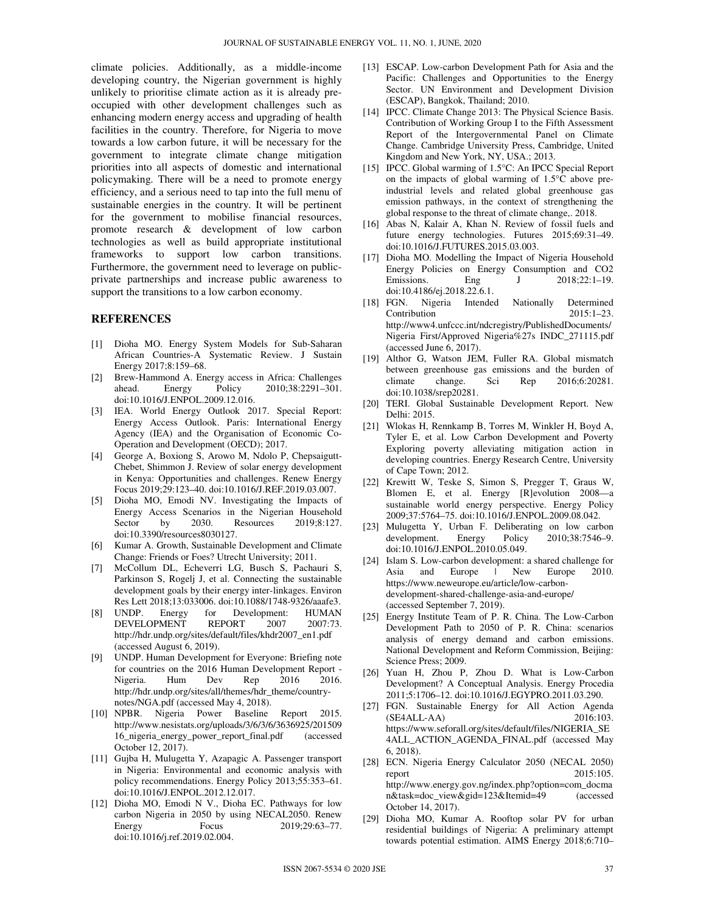climate policies. Additionally, as a middle-income developing country, the Nigerian government is highly unlikely to prioritise climate action as it is already preoccupied with other development challenges such as enhancing modern energy access and upgrading of health facilities in the country. Therefore, for Nigeria to move towards a low carbon future, it will be necessary for the government to integrate climate change mitigation priorities into all aspects of domestic and international policymaking. There will be a need to promote energy efficiency, and a serious need to tap into the full menu of sustainable energies in the country. It will be pertinent for the government to mobilise financial resources, promote research & development of low carbon technologies as well as build appropriate institutional frameworks to support low carbon transitions. Furthermore, the government need to leverage on publicprivate partnerships and increase public awareness to support the transitions to a low carbon economy.

#### **REFERENCES**

- [1] Dioha MO. Energy System Models for Sub-Saharan African Countries-A Systematic Review. J Sustain Energy 2017;8:159–68.
- [2] Brew-Hammond A. Energy access in Africa: Challenges ahead. Energy Policy 2010;38:2291–301. doi:10.1016/J.ENPOL.2009.12.016.
- [3] IEA. World Energy Outlook 2017. Special Report: Energy Access Outlook. Paris: International Energy Agency (IEA) and the Organisation of Economic Co-Operation and Development (OECD); 2017.
- [4] George A, Boxiong S, Arowo M, Ndolo P, Chepsaigutt-Chebet, Shimmon J. Review of solar energy development in Kenya: Opportunities and challenges. Renew Energy Focus 2019;29:123–40. doi:10.1016/J.REF.2019.03.007.
- [5] Dioha MO, Emodi NV. Investigating the Impacts of Energy Access Scenarios in the Nigerian Household Sector by 2030. Resources 2019;8:127. doi:10.3390/resources8030127.
- [6] Kumar A. Growth, Sustainable Development and Climate Change: Friends or Foes? Utrecht University; 2011.
- [7] McCollum DL, Echeverri LG, Busch S, Pachauri S, Parkinson S, Rogelj J, et al. Connecting the sustainable development goals by their energy inter-linkages. Environ Res Lett 2018;13:033006. doi:10.1088/1748-9326/aaafe3.
- [8] UNDP. Energy for Development: HUMAN DEVELOPMENT REPORT 2007 2007:73. http://hdr.undp.org/sites/default/files/khdr2007\_en1.pdf (accessed August 6, 2019).
- [9] UNDP. Human Development for Everyone: Briefing note for countries on the 2016 Human Development Report - Nigeria. Hum Dev Rep 2016 2016. http://hdr.undp.org/sites/all/themes/hdr\_theme/countrynotes/NGA.pdf (accessed May 4, 2018).
- [10] NPBR. Nigeria Power Baseline Report 2015. http://www.nesistats.org/uploads/3/6/3/6/3636925/201509 16\_nigeria\_energy\_power\_report\_final.pdf (accessed October 12, 2017).
- [11] Gujba H, Mulugetta Y, Azapagic A. Passenger transport in Nigeria: Environmental and economic analysis with policy recommendations. Energy Policy 2013;55:353–61. doi:10.1016/J.ENPOL.2012.12.017.
- [12] Dioha MO, Emodi N V., Dioha EC. Pathways for low carbon Nigeria in 2050 by using NECAL2050. Renew Energy Focus 2019;29:63–77. doi:10.1016/j.ref.2019.02.004.
- [13] ESCAP. Low-carbon Development Path for Asia and the Pacific: Challenges and Opportunities to the Energy Sector. UN Environment and Development Division (ESCAP), Bangkok, Thailand; 2010.
- [14] IPCC. Climate Change 2013: The Physical Science Basis. Contribution of Working Group I to the Fifth Assessment Report of the Intergovernmental Panel on Climate Change. Cambridge University Press, Cambridge, United Kingdom and New York, NY, USA.; 2013.
- [15] IPCC. Global warming of 1.5°C: An IPCC Special Report on the impacts of global warming of 1.5°C above preindustrial levels and related global greenhouse gas emission pathways, in the context of strengthening the global response to the threat of climate change,. 2018.
- [16] Abas N, Kalair A, Khan N. Review of fossil fuels and future energy technologies. Futures 2015;69:31–49. doi:10.1016/J.FUTURES.2015.03.003.
- [17] Dioha MO. Modelling the Impact of Nigeria Household Energy Policies on Energy Consumption and CO2 Emissions. Eng J 2018;22:1-19. doi:10.4186/ej.2018.22.6.1.
- [18] FGN. Nigeria Intended Nationally Determined Contribution 2015:1–23. http://www4.unfccc.int/ndcregistry/PublishedDocuments/ Nigeria First/Approved Nigeria%27s INDC\_271115.pdf (accessed June 6, 2017).
- [19] Althor G, Watson JEM, Fuller RA. Global mismatch between greenhouse gas emissions and the burden of climate change. Sci Rep 2016;6:20281. climate change. Sci Rep 2016;6:20281. doi:10.1038/srep20281.
- [20] TERI. Global Sustainable Development Report. New Delhi: 2015.
- [21] Wlokas H, Rennkamp B, Torres M, Winkler H, Boyd A, Tyler E, et al. Low Carbon Development and Poverty Exploring poverty alleviating mitigation action in developing countries. Energy Research Centre, University of Cape Town; 2012.
- [22] Krewitt W, Teske S, Simon S, Pregger T, Graus W, Blomen E, et al. Energy [R]evolution 2008—a sustainable world energy perspective. Energy Policy 2009;37:5764–75. doi:10.1016/J.ENPOL.2009.08.042.
- [23] Mulugetta Y, Urban F. Deliberating on low carbon development. Energy Policy 2010;38:7546-9. doi:10.1016/J.ENPOL.2010.05.049.
- [24] Islam S. Low-carbon development: a shared challenge for Asia and Europe | New Europe https://www.neweurope.eu/article/low-carbondevelopment-shared-challenge-asia-and-europe/ (accessed September 7, 2019).
- [25] Energy Institute Team of P. R. China. The Low-Carbon Development Path to 2050 of P. R. China: scenarios analysis of energy demand and carbon emissions. National Development and Reform Commission, Beijing: Science Press; 2009.
- [26] Yuan H, Zhou P, Zhou D. What is Low-Carbon Development? A Conceptual Analysis. Energy Procedia 2011;5:1706–12. doi:10.1016/J.EGYPRO.2011.03.290.
- [27] FGN. Sustainable Energy for All Action Agenda (SE4ALL-AA) 2016:103. https://www.seforall.org/sites/default/files/NIGERIA\_SE 4ALL\_ACTION\_AGENDA\_FINAL.pdf (accessed May 6, 2018).
- [28] ECN. Nigeria Energy Calculator 2050 (NECAL 2050) report 2015:105. http://www.energy.gov.ng/index.php?option=com\_docma n&task=doc\_view&gid=123&Itemid=49 (accessed October 14, 2017).
- [29] Dioha MO, Kumar A. Rooftop solar PV for urban residential buildings of Nigeria: A preliminary attempt towards potential estimation. AIMS Energy 2018;6:710–